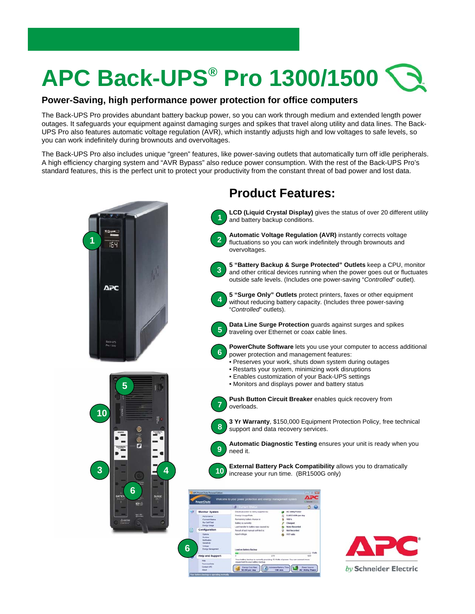## **APC Back-UPS® Pro 1300/1500**

## **Power-Saving, high performance power protection for office computers**

The Back-UPS Pro provides abundant battery backup power, so you can work through medium and extended length power outages. It safeguards your equipment against damaging surges and spikes that travel along utility and data lines. The Back-UPS Pro also features automatic voltage regulation (AVR), which instantly adjusts high and low voltages to safe levels, so you can work indefinitely during brownouts and overvoltages.

The Back-UPS Pro also includes unique "green" features, like power-saving outlets that automatically turn off idle peripherals. A high efficiency charging system and "AVR Bypass" also reduce power consumption. With the rest of the Back-UPS Pro's standard features, this is the perfect unit to protect your productivity from the constant threat of bad power and lost data.